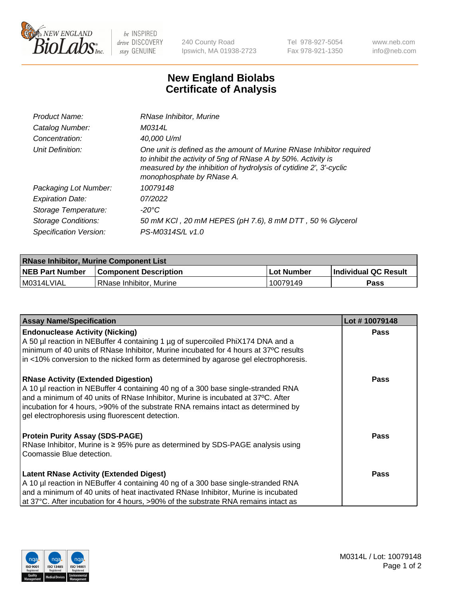

 $be$  INSPIRED drive DISCOVERY stay GENUINE

240 County Road Ipswich, MA 01938-2723 Tel 978-927-5054 Fax 978-921-1350 www.neb.com info@neb.com

## **New England Biolabs Certificate of Analysis**

| Product Name:              | RNase Inhibitor, Murine                                                                                                                                                                                                                  |
|----------------------------|------------------------------------------------------------------------------------------------------------------------------------------------------------------------------------------------------------------------------------------|
| Catalog Number:            | M0314L                                                                                                                                                                                                                                   |
| Concentration:             | 40,000 U/ml                                                                                                                                                                                                                              |
| Unit Definition:           | One unit is defined as the amount of Murine RNase Inhibitor required<br>to inhibit the activity of 5ng of RNase A by 50%. Activity is<br>measured by the inhibition of hydrolysis of cytidine 2', 3'-cyclic<br>monophosphate by RNase A. |
| Packaging Lot Number:      | 10079148                                                                                                                                                                                                                                 |
| <b>Expiration Date:</b>    | 07/2022                                                                                                                                                                                                                                  |
| Storage Temperature:       | -20°C                                                                                                                                                                                                                                    |
| <b>Storage Conditions:</b> | 50 mM KCI, 20 mM HEPES (pH 7.6), 8 mM DTT, 50 % Glycerol                                                                                                                                                                                 |
| Specification Version:     | PS-M0314S/L v1.0                                                                                                                                                                                                                         |

| <b>RNase Inhibitor, Murine Component List</b> |                              |            |                      |  |
|-----------------------------------------------|------------------------------|------------|----------------------|--|
| <b>NEB Part Number</b>                        | <b>Component Description</b> | Lot Number | Individual QC Result |  |
| M0314LVIAL                                    | RNase Inhibitor, Murine      | 10079149   | Pass                 |  |

| <b>Assay Name/Specification</b>                                                                                                                                                                                                                                                                                                                              | Lot #10079148 |
|--------------------------------------------------------------------------------------------------------------------------------------------------------------------------------------------------------------------------------------------------------------------------------------------------------------------------------------------------------------|---------------|
| <b>Endonuclease Activity (Nicking)</b><br>A 50 µl reaction in NEBuffer 4 containing 1 µg of supercoiled PhiX174 DNA and a<br>minimum of 40 units of RNase Inhibitor, Murine incubated for 4 hours at 37°C results<br>in <10% conversion to the nicked form as determined by agarose gel electrophoresis.                                                     | Pass          |
| <b>RNase Activity (Extended Digestion)</b><br>A 10 µl reaction in NEBuffer 4 containing 40 ng of a 300 base single-stranded RNA<br>and a minimum of 40 units of RNase Inhibitor, Murine is incubated at 37°C. After<br>incubation for 4 hours, >90% of the substrate RNA remains intact as determined by<br>gel electrophoresis using fluorescent detection. | Pass          |
| <b>Protein Purity Assay (SDS-PAGE)</b><br>RNase Inhibitor, Murine is ≥ 95% pure as determined by SDS-PAGE analysis using<br>Coomassie Blue detection.                                                                                                                                                                                                        | <b>Pass</b>   |
| <b>Latent RNase Activity (Extended Digest)</b><br>A 10 µl reaction in NEBuffer 4 containing 40 ng of a 300 base single-stranded RNA<br>and a minimum of 40 units of heat inactivated RNase Inhibitor, Murine is incubated<br>at 37°C. After incubation for 4 hours, >90% of the substrate RNA remains intact as                                              | Pass          |